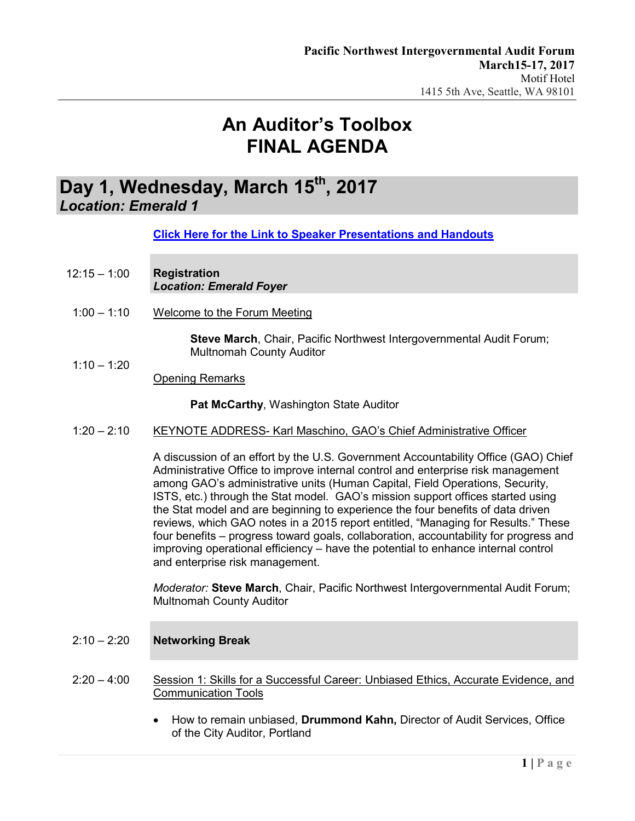### Day 1, Wednesday, March 15<sup>th</sup>, 2017 *Location: Emerald 1*

**[Click Here for the Link to Speaker Presentations](https://www.regonline.com/builder/site/tab3.aspx?EventID=1905383) and Handouts**

- 12:15 1:00 **Registration** *Location: Emerald Foyer*
- $1:00 1:10$ Welcome to the Forum Meeting

**Steve March**, Chair, Pacific Northwest Intergovernmental Audit Forum; Multnomah County Auditor

Opening Remarks

 $1:10 - 1:20$ 

**Pat McCarthy**, Washington State Auditor

1:20 – 2:10 KEYNOTE ADDRESS- Karl Maschino, GAO's Chief Administrative Officer

A discussion of an effort by the U.S. Government Accountability Office (GAO) Chief Administrative Office to improve internal control and enterprise risk management among GAO's administrative units (Human Capital, Field Operations, Security, ISTS, etc.) through the Stat model. GAO's mission support offices started using the Stat model and are beginning to experience the four benefits of data driven reviews, which GAO notes in a 2015 report entitled, "Managing for Results." These four benefits – progress toward goals, collaboration, accountability for progress and improving operational efficiency – have the potential to enhance internal control and enterprise risk management.

*Moderator:* **Steve March**, Chair, Pacific Northwest Intergovernmental Audit Forum; Multnomah County Auditor

- 2:10 2:20 **Networking Break**
- 2:20 4:00 Session 1: Skills for a Successful Career: Unbiased Ethics, Accurate Evidence, and Communication Tools
	- How to remain unbiased, **Drummond Kahn,** Director of Audit Services, Office of the City Auditor, Portland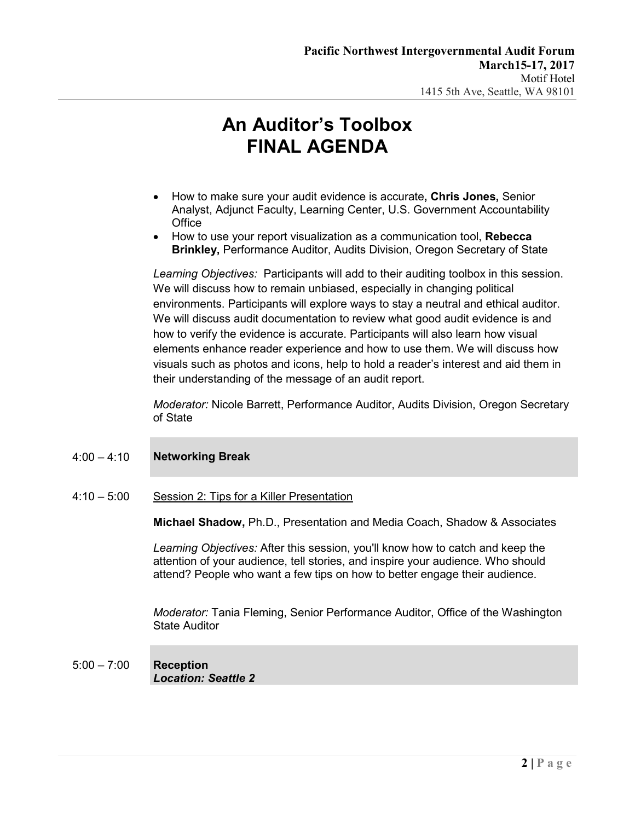- How to make sure your audit evidence is accurate**, Chris Jones,** Senior Analyst, Adjunct Faculty, Learning Center, U.S. Government Accountability **Office**
- How to use your report visualization as a communication tool, **Rebecca Brinkley,** Performance Auditor, Audits Division, Oregon Secretary of State

*Learning Objectives:* Participants will add to their auditing toolbox in this session. We will discuss how to remain unbiased, especially in changing political environments. Participants will explore ways to stay a neutral and ethical auditor. We will discuss audit documentation to review what good audit evidence is and how to verify the evidence is accurate. Participants will also learn how visual elements enhance reader experience and how to use them. We will discuss how visuals such as photos and icons, help to hold a reader's interest and aid them in their understanding of the message of an audit report.

*Moderator:* Nicole Barrett, Performance Auditor, Audits Division, Oregon Secretary of State

### 4:00 – 4:10 **Networking Break**

4:10 – 5:00 Session 2: Tips for a Killer Presentation

**Michael Shadow,** Ph.D., Presentation and Media Coach, Shadow & Associates

*Learning Objectives:* After this session, you'll know how to catch and keep the attention of your audience, tell stories, and inspire your audience. Who should attend? People who want a few tips on how to better engage their audience.

*Moderator:* Tania Fleming, Senior Performance Auditor, Office of the Washington State Auditor

### 5:00 – 7:00 **Reception** *Location: Seattle 2*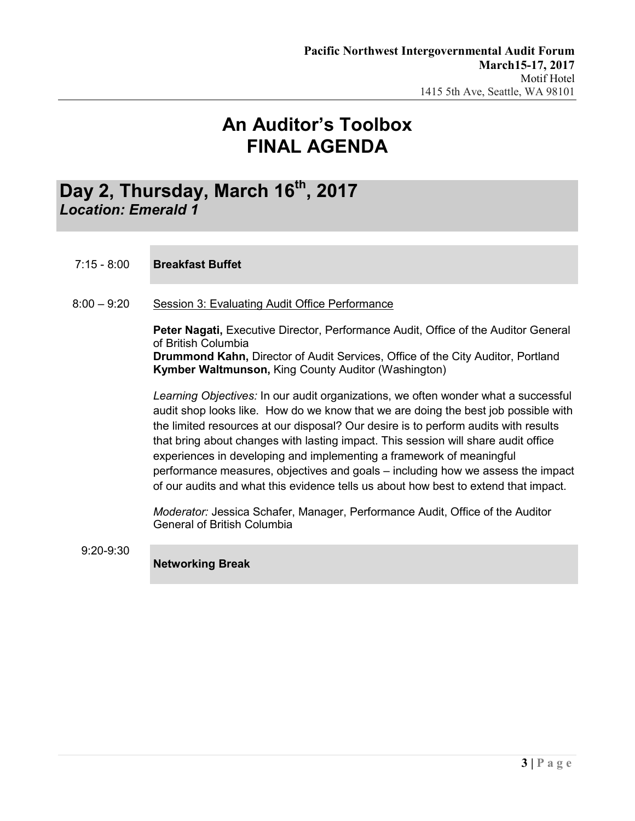## Day 2, Thursday, March 16<sup>th</sup>, 2017 *Location: Emerald 1*

### 7:15 - 8:00 **Breakfast Buffet**

8:00 – 9:20 Session 3: Evaluating Audit Office Performance

**Peter Nagati,** Executive Director, Performance Audit, Office of the Auditor General of British Columbia **Drummond Kahn,** Director of Audit Services, Office of the City Auditor, Portland **Kymber Waltmunson,** King County Auditor (Washington)

*Learning Objectives:* In our audit organizations, we often wonder what a successful audit shop looks like. How do we know that we are doing the best job possible with the limited resources at our disposal? Our desire is to perform audits with results that bring about changes with lasting impact. This session will share audit office experiences in developing and implementing a framework of meaningful performance measures, objectives and goals – including how we assess the impact of our audits and what this evidence tells us about how best to extend that impact.

*Moderator:* Jessica Schafer, Manager, Performance Audit, Office of the Auditor General of British Columbia

9:20-9:30

**Networking Break**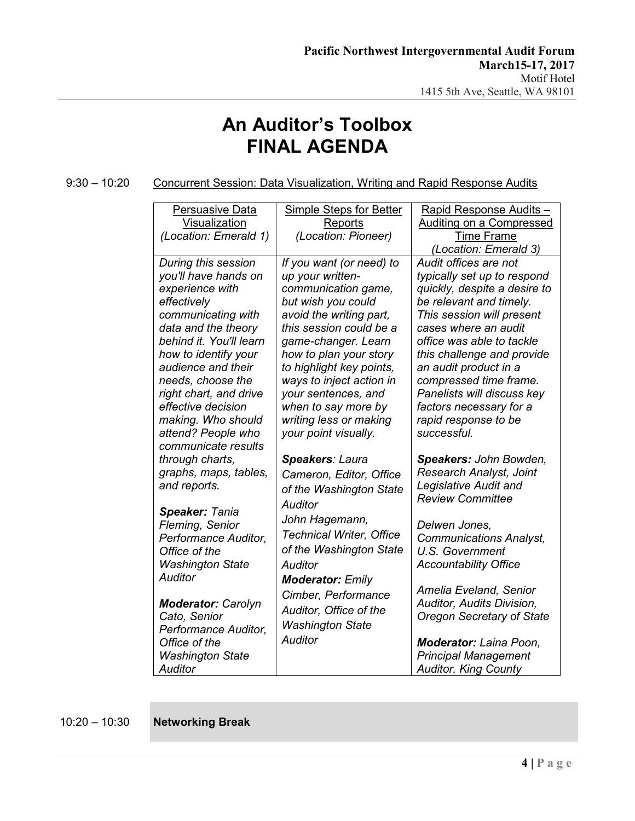9:30 – 10:20 Concurrent Session: Data Visualization, Writing and Rapid Response Audits

| Persuasive Data                                                                                                                 | Simple Steps for Better                                                                                            | Rapid Response Audits -                                                                                                                                                                |
|---------------------------------------------------------------------------------------------------------------------------------|--------------------------------------------------------------------------------------------------------------------|----------------------------------------------------------------------------------------------------------------------------------------------------------------------------------------|
| Visualization                                                                                                                   | Reports                                                                                                            | <b>Auditing on a Compressed</b>                                                                                                                                                        |
| (Location: Emerald 1)                                                                                                           | (Location: Pioneer)                                                                                                | <b>Time Frame</b><br>(Location: Emerald 3)                                                                                                                                             |
| During this session                                                                                                             | If you want (or need) to                                                                                           | Audit offices are not                                                                                                                                                                  |
| you'll have hands on                                                                                                            | up your written-                                                                                                   | typically set up to respond                                                                                                                                                            |
| experience with                                                                                                                 | communication game,                                                                                                | quickly, despite a desire to                                                                                                                                                           |
| effectively                                                                                                                     | but wish you could                                                                                                 | be relevant and timely.                                                                                                                                                                |
| communicating with                                                                                                              | avoid the writing part,                                                                                            | This session will present                                                                                                                                                              |
| data and the theory                                                                                                             | this session could be a                                                                                            | cases where an audit                                                                                                                                                                   |
| behind it. You'll learn                                                                                                         | game-changer. Learn                                                                                                | office was able to tackle                                                                                                                                                              |
| how to identify your                                                                                                            | how to plan your story                                                                                             | this challenge and provide                                                                                                                                                             |
| audience and their                                                                                                              | to highlight key points,                                                                                           | an audit product in a                                                                                                                                                                  |
| needs, choose the                                                                                                               | ways to inject action in                                                                                           | compressed time frame.                                                                                                                                                                 |
| right chart, and drive                                                                                                          | your sentences, and                                                                                                | Panelists will discuss key                                                                                                                                                             |
| effective decision                                                                                                              | when to say more by                                                                                                | factors necessary for a                                                                                                                                                                |
| making. Who should                                                                                                              | writing less or making                                                                                             | rapid response to be                                                                                                                                                                   |
| attend? People who                                                                                                              | your point visually.                                                                                               | successful.                                                                                                                                                                            |
| communicate results                                                                                                             | Speakers: Laura                                                                                                    | Speakers: John Bowden,                                                                                                                                                                 |
| through charts,                                                                                                                 | Cameron, Editor, Office                                                                                            | Research Analyst, Joint                                                                                                                                                                |
| graphs, maps, tables,                                                                                                           | of the Washington State                                                                                            | Legislative Audit and                                                                                                                                                                  |
| and reports.                                                                                                                    | Auditor                                                                                                            | <b>Review Committee</b>                                                                                                                                                                |
| Speaker: Tania<br>Fleming, Senior<br>Performance Auditor.<br>Office of the<br><b>Washington State</b><br>Auditor                | John Hagemann,<br><b>Technical Writer, Office</b><br>of the Washington State<br>Auditor<br><b>Moderator: Emily</b> | Delwen Jones,<br><b>Communications Analyst,</b><br>U.S. Government<br><b>Accountability Office</b>                                                                                     |
| <b>Moderator: Carolyn</b><br>Cato, Senior<br>Performance Auditor,<br>Office of the<br><b>Washington State</b><br><b>Auditor</b> | Cimber, Performance<br>Auditor, Office of the<br><b>Washington State</b><br><b>Auditor</b>                         | Amelia Eveland, Senior<br>Auditor, Audits Division,<br><b>Oregon Secretary of State</b><br><b>Moderator:</b> Laina Poon,<br><b>Principal Management</b><br><b>Auditor, King County</b> |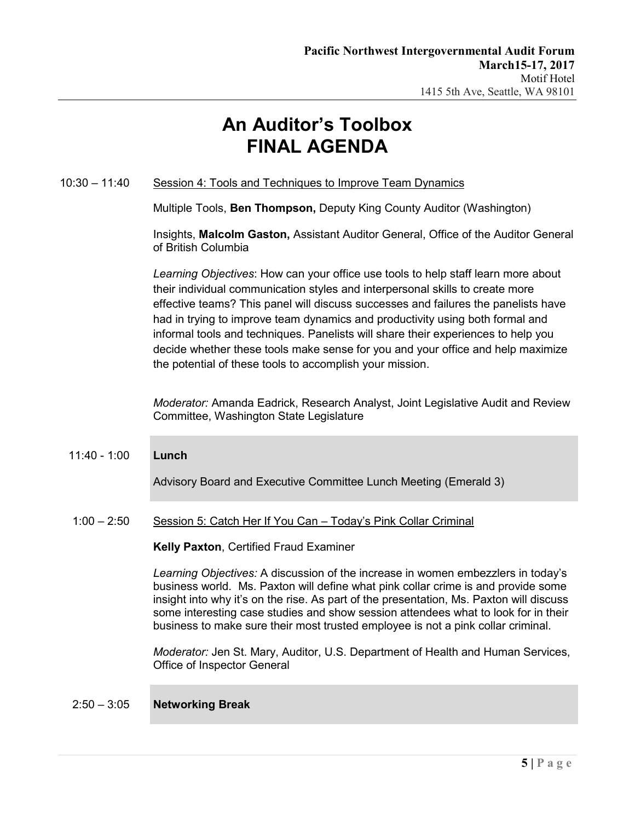### 10:30 – 11:40 Session 4: Tools and Techniques to Improve Team Dynamics

Multiple Tools, **Ben Thompson,** Deputy King County Auditor (Washington)

Insights, **Malcolm Gaston,** Assistant Auditor General, Office of the Auditor General of British Columbia

*Learning Objectives*: How can your office use tools to help staff learn more about their individual communication styles and interpersonal skills to create more effective teams? This panel will discuss successes and failures the panelists have had in trying to improve team dynamics and productivity using both formal and informal tools and techniques. Panelists will share their experiences to help you decide whether these tools make sense for you and your office and help maximize the potential of these tools to accomplish your mission.

*Moderator:* Amanda Eadrick, Research Analyst, Joint Legislative Audit and Review Committee, Washington State Legislature

#### 11:40 - 1:00 **Lunch**

Advisory Board and Executive Committee Lunch Meeting (Emerald 3)

#### 1:00 – 2:50 Session 5: Catch Her If You Can – Today's Pink Collar Criminal

#### **Kelly Paxton**, Certified Fraud Examiner

*Learning Objectives:* A discussion of the increase in women embezzlers in today's business world. Ms. Paxton will define what pink collar crime is and provide some insight into why it's on the rise. As part of the presentation, Ms. Paxton will discuss some interesting case studies and show session attendees what to look for in their business to make sure their most trusted employee is not a pink collar criminal.

*Moderator:* Jen St. Mary, Auditor, U.S. Department of Health and Human Services, Office of Inspector General

#### 2:50 – 3:05 **Networking Break**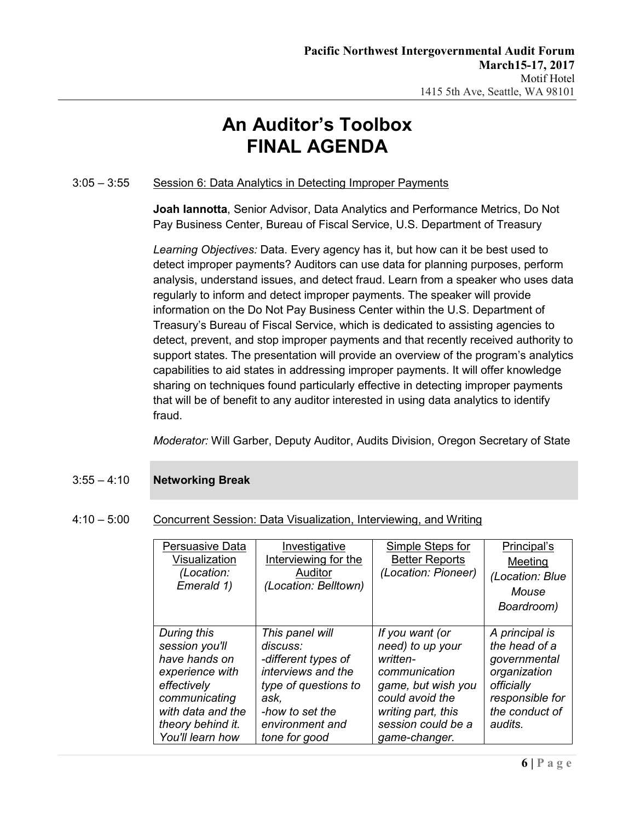### 3:05 – 3:55 Session 6: Data Analytics in Detecting Improper Payments

**Joah Iannotta**, Senior Advisor, Data Analytics and Performance Metrics, Do Not Pay Business Center, Bureau of Fiscal Service, U.S. Department of Treasury

*Learning Objectives:* Data. Every agency has it, but how can it be best used to detect improper payments? Auditors can use data for planning purposes, perform analysis, understand issues, and detect fraud. Learn from a speaker who uses data regularly to inform and detect improper payments. The speaker will provide information on the Do Not Pay Business Center within the U.S. Department of Treasury's Bureau of Fiscal Service, which is dedicated to assisting agencies to detect, prevent, and stop improper payments and that recently received authority to support states. The presentation will provide an overview of the program's analytics capabilities to aid states in addressing improper payments. It will offer knowledge sharing on techniques found particularly effective in detecting improper payments that will be of benefit to any auditor interested in using data analytics to identify fraud.

*Moderator:* Will Garber, Deputy Auditor, Audits Division, Oregon Secretary of State

### 3:55 – 4:10 **Networking Break**

### 4:10 – 5:00 Concurrent Session: Data Visualization, Interviewing, and Writing

| Persuasive Data<br>Visualization<br>(Location:<br>Emerald 1)                                                                                                    | Investigative<br>Interviewing for the<br>Auditor<br>(Location: Belltown)                                                                                        | Simple Steps for<br><b>Better Reports</b><br>(Location: Pioneer)                                                                                                       | Principal's<br>Meeting<br>(Location: Blue<br>Mouse<br>Boardroom)                                                              |
|-----------------------------------------------------------------------------------------------------------------------------------------------------------------|-----------------------------------------------------------------------------------------------------------------------------------------------------------------|------------------------------------------------------------------------------------------------------------------------------------------------------------------------|-------------------------------------------------------------------------------------------------------------------------------|
| During this<br>session you'll<br>have hands on<br>experience with<br>effectively<br>communicating<br>with data and the<br>theory behind it.<br>You'll learn how | This panel will<br>discuss:<br>-different types of<br>interviews and the<br>type of questions to<br>ask,<br>-how to set the<br>environment and<br>tone for good | If you want (or<br>need) to up your<br>written-<br>communication<br>game, but wish you<br>could avoid the<br>writing part, this<br>session could be a<br>game-changer. | A principal is<br>the head of a<br>governmental<br>organization<br>officially<br>responsible for<br>the conduct of<br>audits. |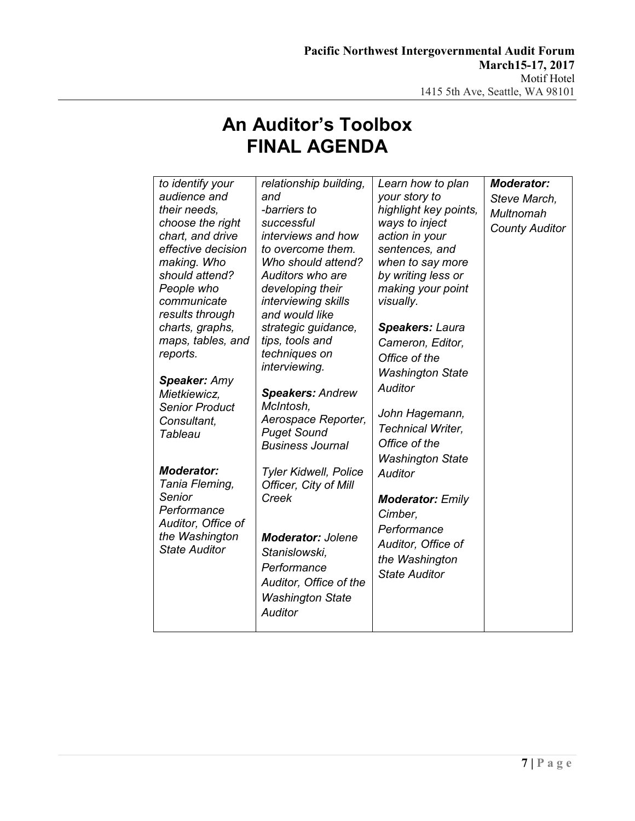| to identify your<br>audience and<br>their needs,<br>choose the right<br>chart, and drive<br>effective decision<br>making. Who<br>should attend?<br>People who<br>communicate<br>results through<br>charts, graphs,<br>maps, tables, and<br>reports.<br><b>Speaker: Amy</b><br>Mietkiewicz,<br><b>Senior Product</b><br>Consultant, | relationship building,<br>and<br>-barriers to<br>successful<br>interviews and how<br>to overcome them.<br>Who should attend?<br>Auditors who are<br>developing their<br>interviewing skills<br>and would like<br>strategic guidance,<br>tips, tools and<br>techniques on<br>interviewing.<br><b>Speakers: Andrew</b><br>McIntosh,<br>Aerospace Reporter, | Learn how to plan<br>your story to<br>highlight key points,<br>ways to inject<br>action in your<br>sentences, and<br>when to say more<br>by writing less or<br>making your point<br>visually.<br>Speakers: Laura<br>Cameron, Editor,<br>Office of the<br><b>Washington State</b><br><b>Auditor</b><br>John Hagemann,<br><b>Technical Writer,</b> | <b>Moderator:</b><br>Steve March,<br>Multnomah<br><b>County Auditor</b> |
|------------------------------------------------------------------------------------------------------------------------------------------------------------------------------------------------------------------------------------------------------------------------------------------------------------------------------------|----------------------------------------------------------------------------------------------------------------------------------------------------------------------------------------------------------------------------------------------------------------------------------------------------------------------------------------------------------|--------------------------------------------------------------------------------------------------------------------------------------------------------------------------------------------------------------------------------------------------------------------------------------------------------------------------------------------------|-------------------------------------------------------------------------|
| Tableau<br><b>Moderator:</b><br>Tania Fleming,<br>Senior<br>Performance<br>Auditor, Office of<br>the Washington<br><b>State Auditor</b>                                                                                                                                                                                            | <b>Puget Sound</b><br><b>Business Journal</b><br><b>Tyler Kidwell, Police</b><br>Officer, City of Mill<br>Creek<br><b>Moderator: Jolene</b><br>Stanislowski,<br>Performance<br>Auditor, Office of the<br><b>Washington State</b><br><b>Auditor</b>                                                                                                       | Office of the<br><b>Washington State</b><br><b>Auditor</b><br><b>Moderator: Emily</b><br>Cimber.<br>Performance<br>Auditor, Office of<br>the Washington<br><b>State Auditor</b>                                                                                                                                                                  |                                                                         |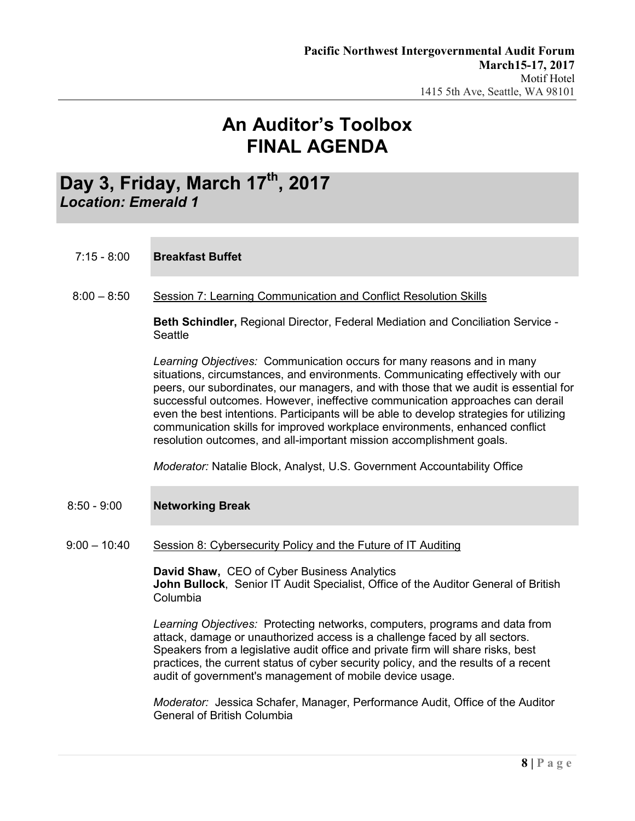## Day 3, Friday, March 17<sup>th</sup>, 2017 *Location: Emerald 1*

- 7:15 8:00 **Breakfast Buffet**
- 8:00 8:50 Session 7: Learning Communication and Conflict Resolution Skills

**Beth Schindler,** Regional Director, Federal Mediation and Conciliation Service - **Seattle** 

*Learning Objectives:* Communication occurs for many reasons and in many situations, circumstances, and environments. Communicating effectively with our peers, our subordinates, our managers, and with those that we audit is essential for successful outcomes. However, ineffective communication approaches can derail even the best intentions. Participants will be able to develop strategies for utilizing communication skills for improved workplace environments, enhanced conflict resolution outcomes, and all-important mission accomplishment goals.

*Moderator:* Natalie Block, Analyst, U.S. Government Accountability Office

- 8:50 9:00 **Networking Break**
- 9:00 10:40 Session 8: Cybersecurity Policy and the Future of IT Auditing

**David Shaw,** CEO of Cyber Business Analytics **John Bullock**, Senior IT Audit Specialist, Office of the Auditor General of British Columbia

*Learning Objectives:* Protecting networks, computers, programs and data from attack, damage or unauthorized access is a challenge faced by all sectors. Speakers from a legislative audit office and private firm will share risks, best practices, the current status of cyber security policy, and the results of a recent audit of government's management of mobile device usage.

*Moderator:* Jessica Schafer, Manager, Performance Audit, Office of the Auditor General of British Columbia